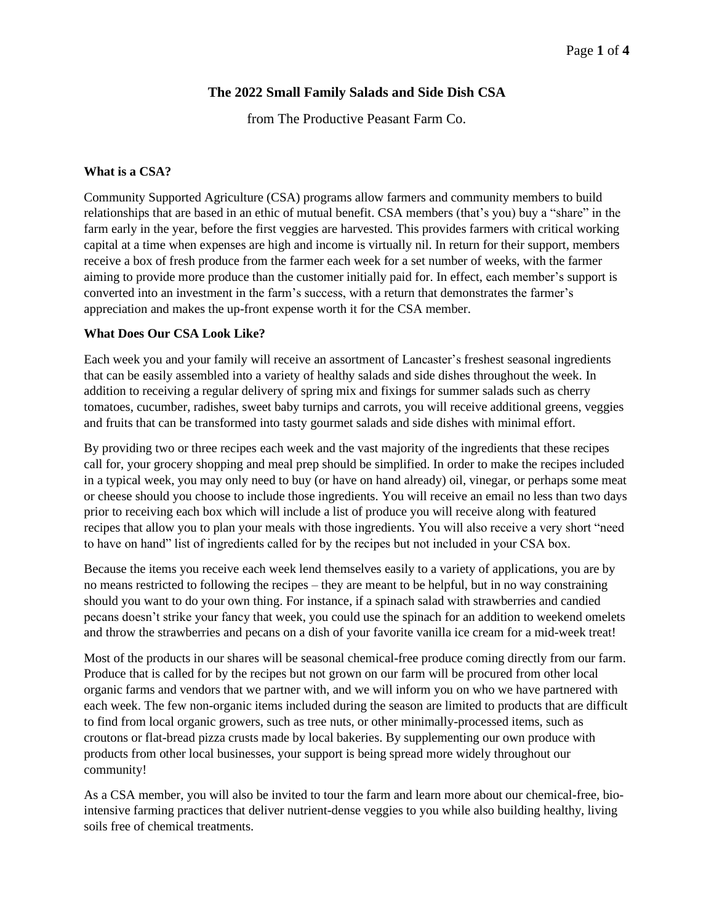## **The 2022 Small Family Salads and Side Dish CSA**

from The Productive Peasant Farm Co.

#### **What is a CSA?**

Community Supported Agriculture (CSA) programs allow farmers and community members to build relationships that are based in an ethic of mutual benefit. CSA members (that's you) buy a "share" in the farm early in the year, before the first veggies are harvested. This provides farmers with critical working capital at a time when expenses are high and income is virtually nil. In return for their support, members receive a box of fresh produce from the farmer each week for a set number of weeks, with the farmer aiming to provide more produce than the customer initially paid for. In effect, each member's support is converted into an investment in the farm's success, with a return that demonstrates the farmer's appreciation and makes the up-front expense worth it for the CSA member.

#### **What Does Our CSA Look Like?**

Each week you and your family will receive an assortment of Lancaster's freshest seasonal ingredients that can be easily assembled into a variety of healthy salads and side dishes throughout the week. In addition to receiving a regular delivery of spring mix and fixings for summer salads such as cherry tomatoes, cucumber, radishes, sweet baby turnips and carrots, you will receive additional greens, veggies and fruits that can be transformed into tasty gourmet salads and side dishes with minimal effort.

By providing two or three recipes each week and the vast majority of the ingredients that these recipes call for, your grocery shopping and meal prep should be simplified. In order to make the recipes included in a typical week, you may only need to buy (or have on hand already) oil, vinegar, or perhaps some meat or cheese should you choose to include those ingredients. You will receive an email no less than two days prior to receiving each box which will include a list of produce you will receive along with featured recipes that allow you to plan your meals with those ingredients. You will also receive a very short "need to have on hand" list of ingredients called for by the recipes but not included in your CSA box.

Because the items you receive each week lend themselves easily to a variety of applications, you are by no means restricted to following the recipes – they are meant to be helpful, but in no way constraining should you want to do your own thing. For instance, if a spinach salad with strawberries and candied pecans doesn't strike your fancy that week, you could use the spinach for an addition to weekend omelets and throw the strawberries and pecans on a dish of your favorite vanilla ice cream for a mid-week treat!

Most of the products in our shares will be seasonal chemical-free produce coming directly from our farm. Produce that is called for by the recipes but not grown on our farm will be procured from other local organic farms and vendors that we partner with, and we will inform you on who we have partnered with each week. The few non-organic items included during the season are limited to products that are difficult to find from local organic growers, such as tree nuts, or other minimally-processed items, such as croutons or flat-bread pizza crusts made by local bakeries. By supplementing our own produce with products from other local businesses, your support is being spread more widely throughout our community!

As a CSA member, you will also be invited to tour the farm and learn more about our chemical-free, biointensive farming practices that deliver nutrient-dense veggies to you while also building healthy, living soils free of chemical treatments.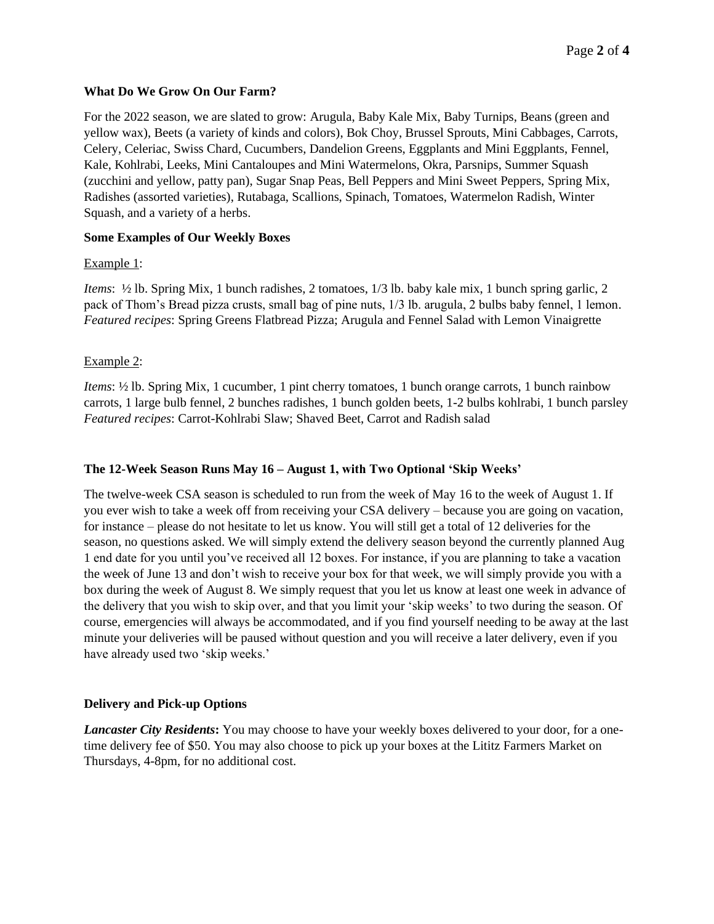### **What Do We Grow On Our Farm?**

For the 2022 season, we are slated to grow: Arugula, Baby Kale Mix, Baby Turnips, Beans (green and yellow wax), Beets (a variety of kinds and colors), Bok Choy, Brussel Sprouts, Mini Cabbages, Carrots, Celery, Celeriac, Swiss Chard, Cucumbers, Dandelion Greens, Eggplants and Mini Eggplants, Fennel, Kale, Kohlrabi, Leeks, Mini Cantaloupes and Mini Watermelons, Okra, Parsnips, Summer Squash (zucchini and yellow, patty pan), Sugar Snap Peas, Bell Peppers and Mini Sweet Peppers, Spring Mix, Radishes (assorted varieties), Rutabaga, Scallions, Spinach, Tomatoes, Watermelon Radish, Winter Squash, and a variety of a herbs.

## **Some Examples of Our Weekly Boxes**

#### Example 1:

*Items*: ½ lb. Spring Mix, 1 bunch radishes, 2 tomatoes, 1/3 lb. baby kale mix, 1 bunch spring garlic, 2 pack of Thom's Bread pizza crusts, small bag of pine nuts, 1/3 lb. arugula, 2 bulbs baby fennel, 1 lemon. *Featured recipes*: Spring Greens Flatbread Pizza; Arugula and Fennel Salad with Lemon Vinaigrette

## Example 2:

*Items*: ½ lb. Spring Mix, 1 cucumber, 1 pint cherry tomatoes, 1 bunch orange carrots, 1 bunch rainbow carrots, 1 large bulb fennel, 2 bunches radishes, 1 bunch golden beets, 1-2 bulbs kohlrabi, 1 bunch parsley *Featured recipes*: Carrot-Kohlrabi Slaw; Shaved Beet, Carrot and Radish salad

## **The 12-Week Season Runs May 16 – August 1, with Two Optional 'Skip Weeks'**

The twelve-week CSA season is scheduled to run from the week of May 16 to the week of August 1. If you ever wish to take a week off from receiving your CSA delivery – because you are going on vacation, for instance – please do not hesitate to let us know. You will still get a total of 12 deliveries for the season, no questions asked. We will simply extend the delivery season beyond the currently planned Aug 1 end date for you until you've received all 12 boxes. For instance, if you are planning to take a vacation the week of June 13 and don't wish to receive your box for that week, we will simply provide you with a box during the week of August 8. We simply request that you let us know at least one week in advance of the delivery that you wish to skip over, and that you limit your 'skip weeks' to two during the season. Of course, emergencies will always be accommodated, and if you find yourself needing to be away at the last minute your deliveries will be paused without question and you will receive a later delivery, even if you have already used two 'skip weeks.'

#### **Delivery and Pick-up Options**

*Lancaster City Residents***:** You may choose to have your weekly boxes delivered to your door, for a onetime delivery fee of \$50. You may also choose to pick up your boxes at the Lititz Farmers Market on Thursdays, 4-8pm, for no additional cost.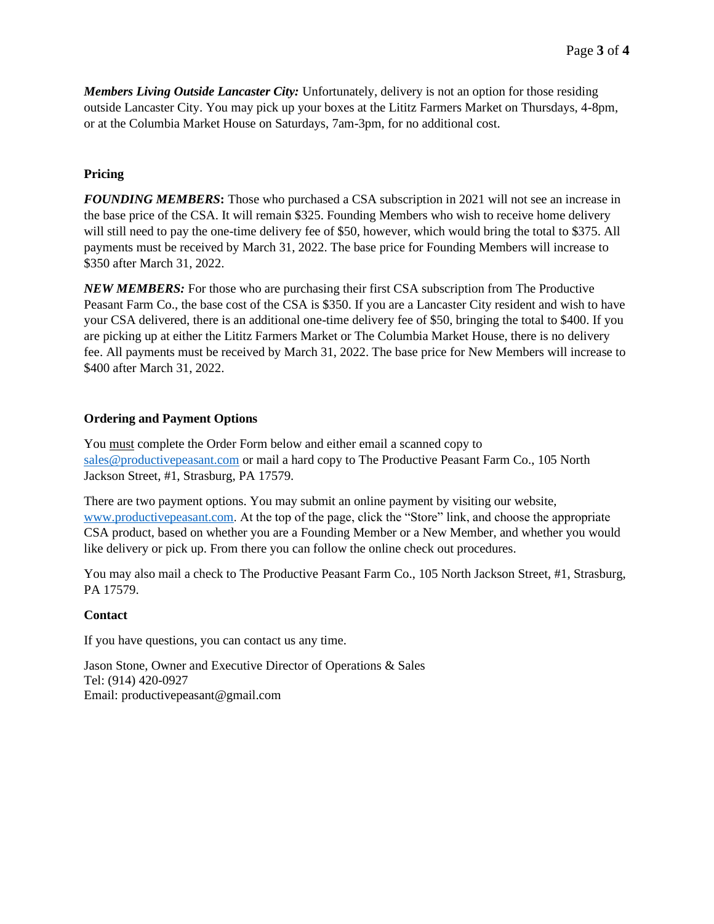*Members Living Outside Lancaster City:* Unfortunately, delivery is not an option for those residing outside Lancaster City. You may pick up your boxes at the Lititz Farmers Market on Thursdays, 4-8pm, or at the Columbia Market House on Saturdays, 7am-3pm, for no additional cost.

# **Pricing**

*FOUNDING MEMBERS***:** Those who purchased a CSA subscription in 2021 will not see an increase in the base price of the CSA. It will remain \$325. Founding Members who wish to receive home delivery will still need to pay the one-time delivery fee of \$50, however, which would bring the total to \$375. All payments must be received by March 31, 2022. The base price for Founding Members will increase to \$350 after March 31, 2022.

*NEW MEMBERS:* For those who are purchasing their first CSA subscription from The Productive Peasant Farm Co., the base cost of the CSA is \$350. If you are a Lancaster City resident and wish to have your CSA delivered, there is an additional one-time delivery fee of \$50, bringing the total to \$400. If you are picking up at either the Lititz Farmers Market or The Columbia Market House, there is no delivery fee. All payments must be received by March 31, 2022. The base price for New Members will increase to \$400 after March 31, 2022.

#### **Ordering and Payment Options**

You must complete the Order Form below and either email a scanned copy to [sales@productivepeasant.com](mailto:sales@productivepeasant.com) or mail a hard copy to The Productive Peasant Farm Co., 105 North Jackson Street, #1, Strasburg, PA 17579.

There are two payment options. You may submit an online payment by visiting our website, [www.productivepeasant.com.](http://www.productivepeasant.com/) At the top of the page, click the "Store" link, and choose the appropriate CSA product, based on whether you are a Founding Member or a New Member, and whether you would like delivery or pick up. From there you can follow the online check out procedures.

You may also mail a check to The Productive Peasant Farm Co., 105 North Jackson Street, #1, Strasburg, PA 17579.

## **Contact**

If you have questions, you can contact us any time.

Jason Stone, Owner and Executive Director of Operations & Sales Tel: (914) 420-0927 Email: productivepeasant@gmail.com